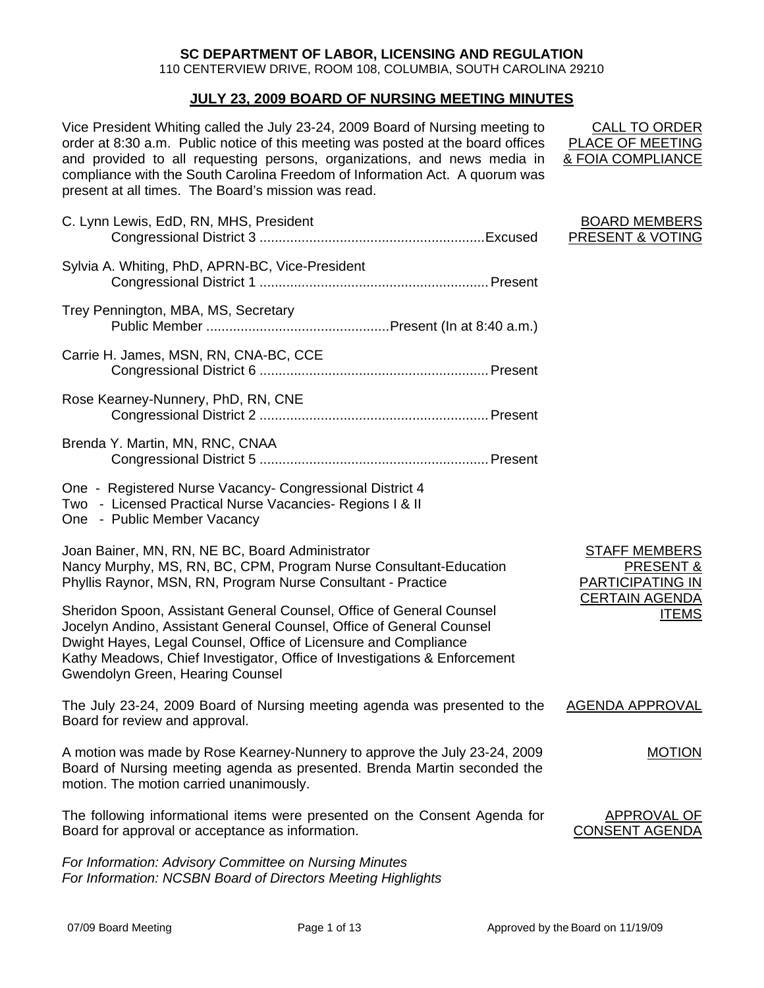## **SC DEPARTMENT OF LABOR, LICENSING AND REGULATION**

110 CENTERVIEW DRIVE, ROOM 108, COLUMBIA, SOUTH CAROLINA 29210

## **JULY 23, 2009 BOARD OF NURSING MEETING MINUTES**

Vice President Whiting called the July 23-24, 2009 Board of Nursing meeting to order at 8:30 a.m. Public notice of this meeting was posted at the board offices and provided to all requesting persons, organizations, and news media in compliance with the South Carolina Freedom of Information Act. A quorum was present at all times. The Board's mission was read.

CALL TO ORDER PLACE OF MEETING & FOIA COMPLIANCE

| C. Lynn Lewis, EdD, RN, MHS, President                                                                                                                                                                                                                                                                                           | <b>BOARD MEMBERS</b><br><b>PRESENT &amp; VOTING</b>   |
|----------------------------------------------------------------------------------------------------------------------------------------------------------------------------------------------------------------------------------------------------------------------------------------------------------------------------------|-------------------------------------------------------|
| Sylvia A. Whiting, PhD, APRN-BC, Vice-President                                                                                                                                                                                                                                                                                  |                                                       |
| Trey Pennington, MBA, MS, Secretary                                                                                                                                                                                                                                                                                              |                                                       |
| Carrie H. James, MSN, RN, CNA-BC, CCE                                                                                                                                                                                                                                                                                            |                                                       |
| Rose Kearney-Nunnery, PhD, RN, CNE                                                                                                                                                                                                                                                                                               |                                                       |
| Brenda Y. Martin, MN, RNC, CNAA                                                                                                                                                                                                                                                                                                  |                                                       |
| One - Registered Nurse Vacancy- Congressional District 4<br>Two - Licensed Practical Nurse Vacancies- Regions I & II<br>One - Public Member Vacancy                                                                                                                                                                              |                                                       |
| Joan Bainer, MN, RN, NE BC, Board Administrator<br>Nancy Murphy, MS, RN, BC, CPM, Program Nurse Consultant-Education<br>Phyllis Raynor, MSN, RN, Program Nurse Consultant - Practice                                                                                                                                             | <b>STAFF MEMBERS</b><br>PRESENT &<br>PARTICIPATING IN |
| Sheridon Spoon, Assistant General Counsel, Office of General Counsel<br>Jocelyn Andino, Assistant General Counsel, Office of General Counsel<br>Dwight Hayes, Legal Counsel, Office of Licensure and Compliance<br>Kathy Meadows, Chief Investigator, Office of Investigations & Enforcement<br>Gwendolyn Green, Hearing Counsel | <b>CERTAIN AGENDA</b><br><b>ITEMS</b>                 |
| The July 23-24, 2009 Board of Nursing meeting agenda was presented to the<br>Board for review and approval.                                                                                                                                                                                                                      | <b>AGENDA APPROVAL</b>                                |
| A motion was made by Rose Kearney-Nunnery to approve the July 23-24, 2009<br>Board of Nursing meeting agenda as presented. Brenda Martin seconded the<br>motion. The motion carried unanimously.                                                                                                                                 | <b>MOTION</b>                                         |
| The following informational items were presented on the Consent Agenda for<br>Board for approval or acceptance as information.                                                                                                                                                                                                   | APPROVAL OF<br><b>CONSENT AGENDA</b>                  |
| For Information: Advisory Committee on Nursing Minutes                                                                                                                                                                                                                                                                           |                                                       |

*For Information: NCSBN Board of Directors Meeting Highlights*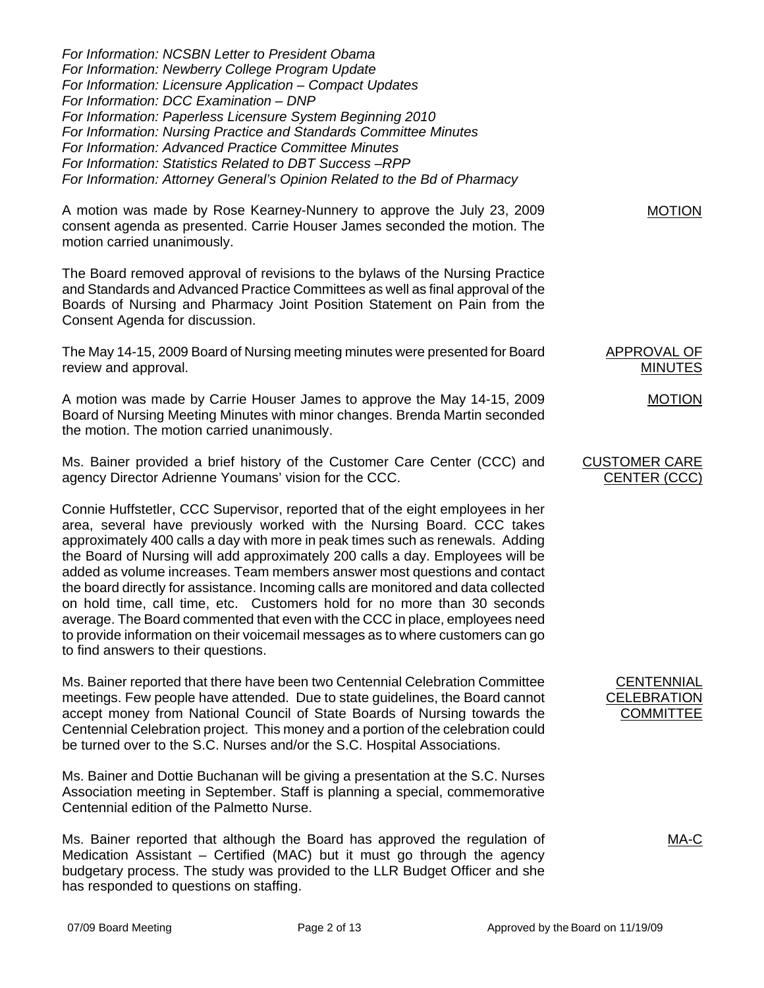*For Information: NCSBN Letter to President Obama For Information: Newberry College Program Update For Information: Licensure Application – Compact Updates For Information: DCC Examination – DNP For Information: Paperless Licensure System Beginning 2010 For Information: Nursing Practice and Standards Committee Minutes For Information: Advanced Practice Committee Minutes For Information: Statistics Related to DBT Success –RPP For Information: Attorney General's Opinion Related to the Bd of Pharmacy* 

A motion was made by Rose Kearney-Nunnery to approve the July 23, 2009 consent agenda as presented. Carrie Houser James seconded the motion. The motion carried unanimously.

The Board removed approval of revisions to the bylaws of the Nursing Practice and Standards and Advanced Practice Committees as well as final approval of the Boards of Nursing and Pharmacy Joint Position Statement on Pain from the Consent Agenda for discussion.

The May 14-15, 2009 Board of Nursing meeting minutes were presented for Board review and approval.

A motion was made by Carrie Houser James to approve the May 14-15, 2009 Board of Nursing Meeting Minutes with minor changes. Brenda Martin seconded the motion. The motion carried unanimously.

Ms. Bainer provided a brief history of the Customer Care Center (CCC) and agency Director Adrienne Youmans' vision for the CCC.

Connie Huffstetler, CCC Supervisor, reported that of the eight employees in her area, several have previously worked with the Nursing Board. CCC takes approximately 400 calls a day with more in peak times such as renewals. Adding the Board of Nursing will add approximately 200 calls a day. Employees will be added as volume increases. Team members answer most questions and contact the board directly for assistance. Incoming calls are monitored and data collected on hold time, call time, etc. Customers hold for no more than 30 seconds average. The Board commented that even with the CCC in place, employees need to provide information on their voicemail messages as to where customers can go to find answers to their questions.

Ms. Bainer reported that there have been two Centennial Celebration Committee meetings. Few people have attended. Due to state guidelines, the Board cannot accept money from National Council of State Boards of Nursing towards the Centennial Celebration project. This money and a portion of the celebration could be turned over to the S.C. Nurses and/or the S.C. Hospital Associations.

Ms. Bainer and Dottie Buchanan will be giving a presentation at the S.C. Nurses Association meeting in September. Staff is planning a special, commemorative Centennial edition of the Palmetto Nurse.

Ms. Bainer reported that although the Board has approved the regulation of Medication Assistant – Certified (MAC) but it must go through the agency budgetary process. The study was provided to the LLR Budget Officer and she has responded to questions on staffing.

MOTION

APPROVAL OF MINUTES

MOTION

## CUSTOMER CARE CENTER (CCC)

**CENTENNIAL CELEBRATION COMMITTEE** 

MA-C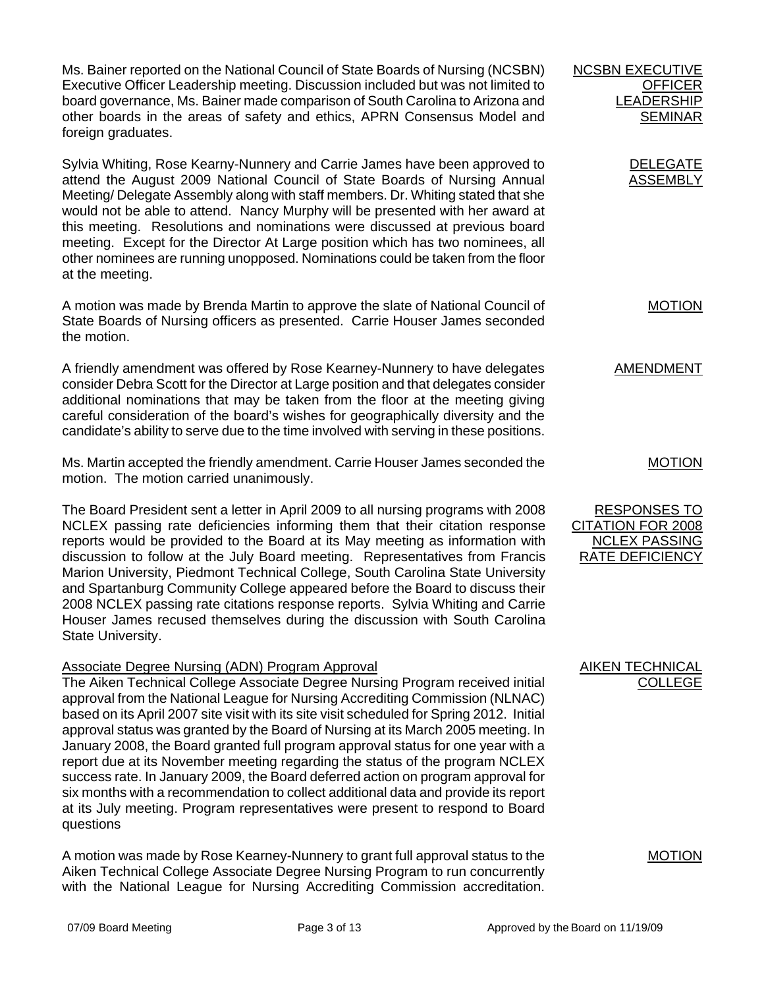Ms. Bainer reported on the National Council of State Boards of Nursing (NCSBN) Executive Officer Leadership meeting. Discussion included but was not limited to board governance, Ms. Bainer made comparison of South Carolina to Arizona and other boards in the areas of safety and ethics, APRN Consensus Model and foreign graduates.

Sylvia Whiting, Rose Kearny-Nunnery and Carrie James have been approved to attend the August 2009 National Council of State Boards of Nursing Annual Meeting/ Delegate Assembly along with staff members. Dr. Whiting stated that she would not be able to attend. Nancy Murphy will be presented with her award at this meeting. Resolutions and nominations were discussed at previous board meeting. Except for the Director At Large position which has two nominees, all other nominees are running unopposed. Nominations could be taken from the floor at the meeting.

A motion was made by Brenda Martin to approve the slate of National Council of State Boards of Nursing officers as presented. Carrie Houser James seconded the motion.

A friendly amendment was offered by Rose Kearney-Nunnery to have delegates consider Debra Scott for the Director at Large position and that delegates consider additional nominations that may be taken from the floor at the meeting giving careful consideration of the board's wishes for geographically diversity and the candidate's ability to serve due to the time involved with serving in these positions.

Ms. Martin accepted the friendly amendment. Carrie Houser James seconded the motion. The motion carried unanimously.

The Board President sent a letter in April 2009 to all nursing programs with 2008 NCLEX passing rate deficiencies informing them that their citation response reports would be provided to the Board at its May meeting as information with discussion to follow at the July Board meeting. Representatives from Francis Marion University, Piedmont Technical College, South Carolina State University and Spartanburg Community College appeared before the Board to discuss their 2008 NCLEX passing rate citations response reports. Sylvia Whiting and Carrie Houser James recused themselves during the discussion with South Carolina State University.

## Associate Degree Nursing (ADN) Program Approval

The Aiken Technical College Associate Degree Nursing Program received initial approval from the National League for Nursing Accrediting Commission (NLNAC) based on its April 2007 site visit with its site visit scheduled for Spring 2012. Initial approval status was granted by the Board of Nursing at its March 2005 meeting. In January 2008, the Board granted full program approval status for one year with a report due at its November meeting regarding the status of the program NCLEX success rate. In January 2009, the Board deferred action on program approval for six months with a recommendation to collect additional data and provide its report at its July meeting. Program representatives were present to respond to Board questions

A motion was made by Rose Kearney-Nunnery to grant full approval status to the Aiken Technical College Associate Degree Nursing Program to run concurrently with the National League for Nursing Accrediting Commission accreditation.

AMENDMENT MOTION

**NCSBN EXECUTIVE** 

**OFFICER** LEADERSHIP **SEMINAR** 

> DELEGATE ASSEMBLY

> > MOTION

RESPONSES TO CITATION FOR 2008 **NCLEX PASSING** RATE DEFICIENCY

AIKEN TECHNICAL COLLEGE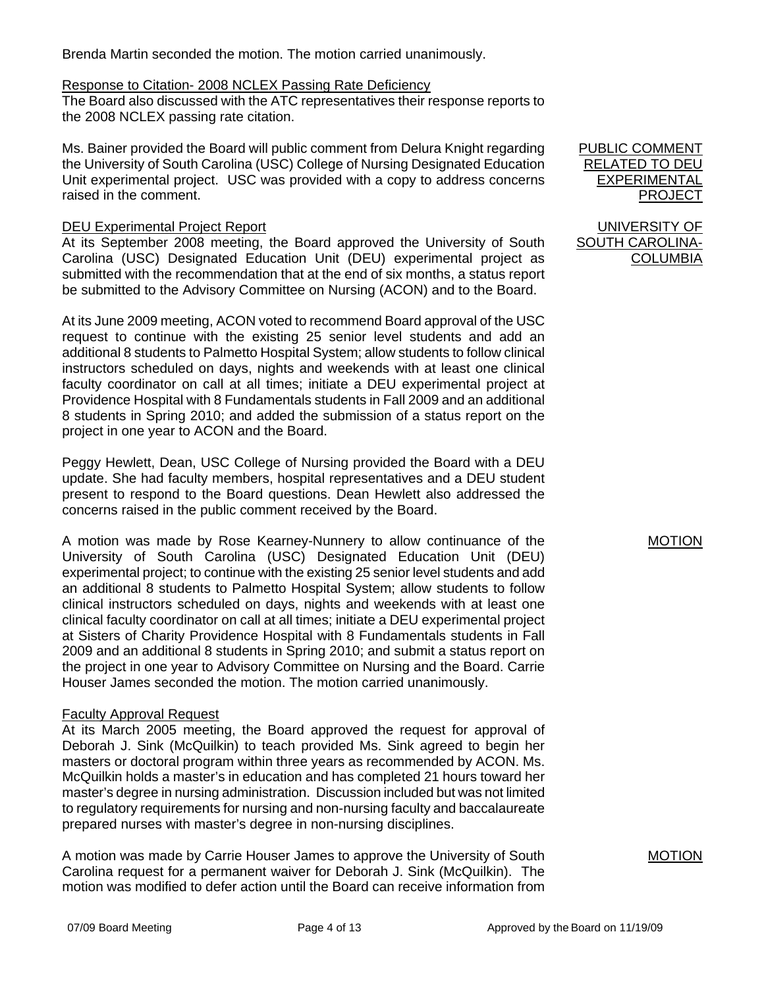Brenda Martin seconded the motion. The motion carried unanimously.

## Response to Citation- 2008 NCLEX Passing Rate Deficiency

The Board also discussed with the ATC representatives their response reports to the 2008 NCLEX passing rate citation.

Ms. Bainer provided the Board will public comment from Delura Knight regarding the University of South Carolina (USC) College of Nursing Designated Education Unit experimental project. USC was provided with a copy to address concerns raised in the comment.

# DEU Experimental Project Report

At its September 2008 meeting, the Board approved the University of South Carolina (USC) Designated Education Unit (DEU) experimental project as submitted with the recommendation that at the end of six months, a status report be submitted to the Advisory Committee on Nursing (ACON) and to the Board.

At its June 2009 meeting, ACON voted to recommend Board approval of the USC request to continue with the existing 25 senior level students and add an additional 8 students to Palmetto Hospital System; allow students to follow clinical instructors scheduled on days, nights and weekends with at least one clinical faculty coordinator on call at all times; initiate a DEU experimental project at Providence Hospital with 8 Fundamentals students in Fall 2009 and an additional 8 students in Spring 2010; and added the submission of a status report on the project in one year to ACON and the Board.

Peggy Hewlett, Dean, USC College of Nursing provided the Board with a DEU update. She had faculty members, hospital representatives and a DEU student present to respond to the Board questions. Dean Hewlett also addressed the concerns raised in the public comment received by the Board.

A motion was made by Rose Kearney-Nunnery to allow continuance of the University of South Carolina (USC) Designated Education Unit (DEU) experimental project; to continue with the existing 25 senior level students and add an additional 8 students to Palmetto Hospital System; allow students to follow clinical instructors scheduled on days, nights and weekends with at least one clinical faculty coordinator on call at all times; initiate a DEU experimental project at Sisters of Charity Providence Hospital with 8 Fundamentals students in Fall 2009 and an additional 8 students in Spring 2010; and submit a status report on the project in one year to Advisory Committee on Nursing and the Board. Carrie Houser James seconded the motion. The motion carried unanimously.

## Faculty Approval Request

At its March 2005 meeting, the Board approved the request for approval of Deborah J. Sink (McQuilkin) to teach provided Ms. Sink agreed to begin her masters or doctoral program within three years as recommended by ACON. Ms. McQuilkin holds a master's in education and has completed 21 hours toward her master's degree in nursing administration. Discussion included but was not limited to regulatory requirements for nursing and non-nursing faculty and baccalaureate prepared nurses with master's degree in non-nursing disciplines.

A motion was made by Carrie Houser James to approve the University of South Carolina request for a permanent waiver for Deborah J. Sink (McQuilkin). The motion was modified to defer action until the Board can receive information from PUBLIC COMMENT RELATED TO DEU EXPERIMENTAL PROJECT

UNIVERSITY OF SOUTH CAROLINA-COLUMBIA

MOTION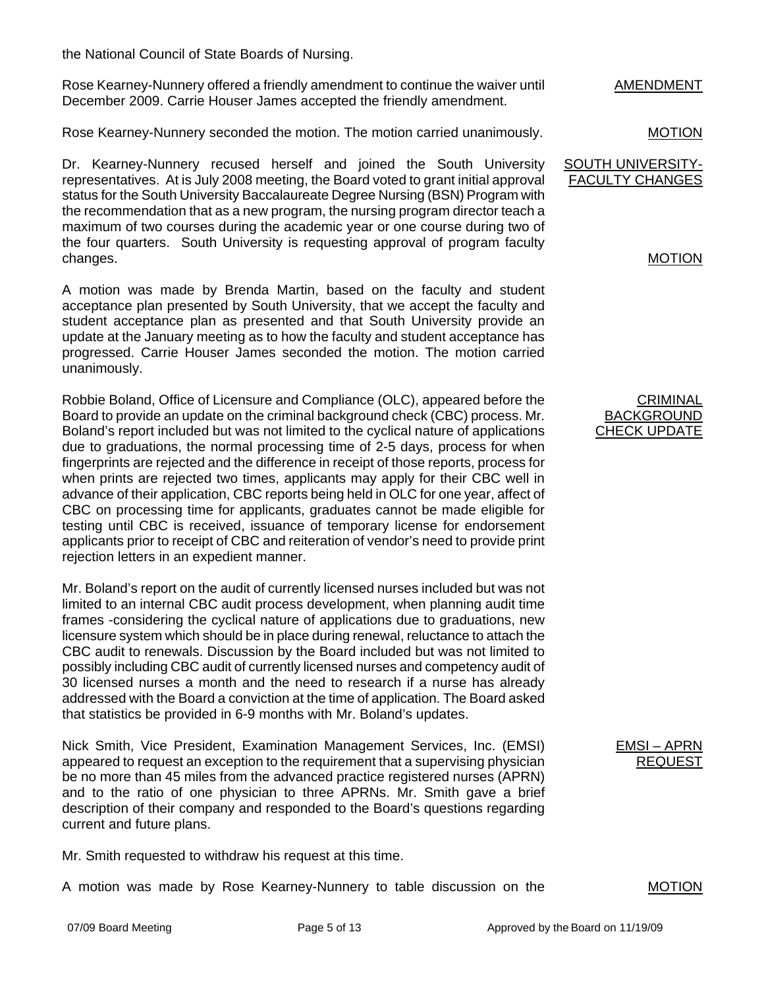the National Council of State Boards of Nursing.

Rose Kearney-Nunnery offered a friendly amendment to continue the waiver until December 2009. Carrie Houser James accepted the friendly amendment.

Rose Kearney-Nunnery seconded the motion. The motion carried unanimously.

Dr. Kearney-Nunnery recused herself and joined the South University representatives. At is July 2008 meeting, the Board voted to grant initial approval status for the South University Baccalaureate Degree Nursing (BSN) Program with the recommendation that as a new program, the nursing program director teach a maximum of two courses during the academic year or one course during two of the four quarters. South University is requesting approval of program faculty changes.

A motion was made by Brenda Martin, based on the faculty and student acceptance plan presented by South University, that we accept the faculty and student acceptance plan as presented and that South University provide an update at the January meeting as to how the faculty and student acceptance has progressed. Carrie Houser James seconded the motion. The motion carried unanimously.

Robbie Boland, Office of Licensure and Compliance (OLC), appeared before the Board to provide an update on the criminal background check (CBC) process. Mr. Boland's report included but was not limited to the cyclical nature of applications due to graduations, the normal processing time of 2-5 days, process for when fingerprints are rejected and the difference in receipt of those reports, process for when prints are rejected two times, applicants may apply for their CBC well in advance of their application, CBC reports being held in OLC for one year, affect of CBC on processing time for applicants, graduates cannot be made eligible for testing until CBC is received, issuance of temporary license for endorsement applicants prior to receipt of CBC and reiteration of vendor's need to provide print rejection letters in an expedient manner.

Mr. Boland's report on the audit of currently licensed nurses included but was not limited to an internal CBC audit process development, when planning audit time frames -considering the cyclical nature of applications due to graduations, new licensure system which should be in place during renewal, reluctance to attach the CBC audit to renewals. Discussion by the Board included but was not limited to possibly including CBC audit of currently licensed nurses and competency audit of 30 licensed nurses a month and the need to research if a nurse has already addressed with the Board a conviction at the time of application. The Board asked that statistics be provided in 6-9 months with Mr. Boland's updates.

Nick Smith, Vice President, Examination Management Services, Inc. (EMSI) appeared to request an exception to the requirement that a supervising physician be no more than 45 miles from the advanced practice registered nurses (APRN) and to the ratio of one physician to three APRNs. Mr. Smith gave a brief description of their company and responded to the Board's questions regarding current and future plans.

Mr. Smith requested to withdraw his request at this time.

A motion was made by Rose Kearney-Nunnery to table discussion on the

AMENDMENT

MOTION

SOUTH UNIVERSITY-FACULTY CHANGES

# MOTION

**CRIMINAL** BACKGROUND CHECK UPDATE

> EMSI – APRN **REQUES**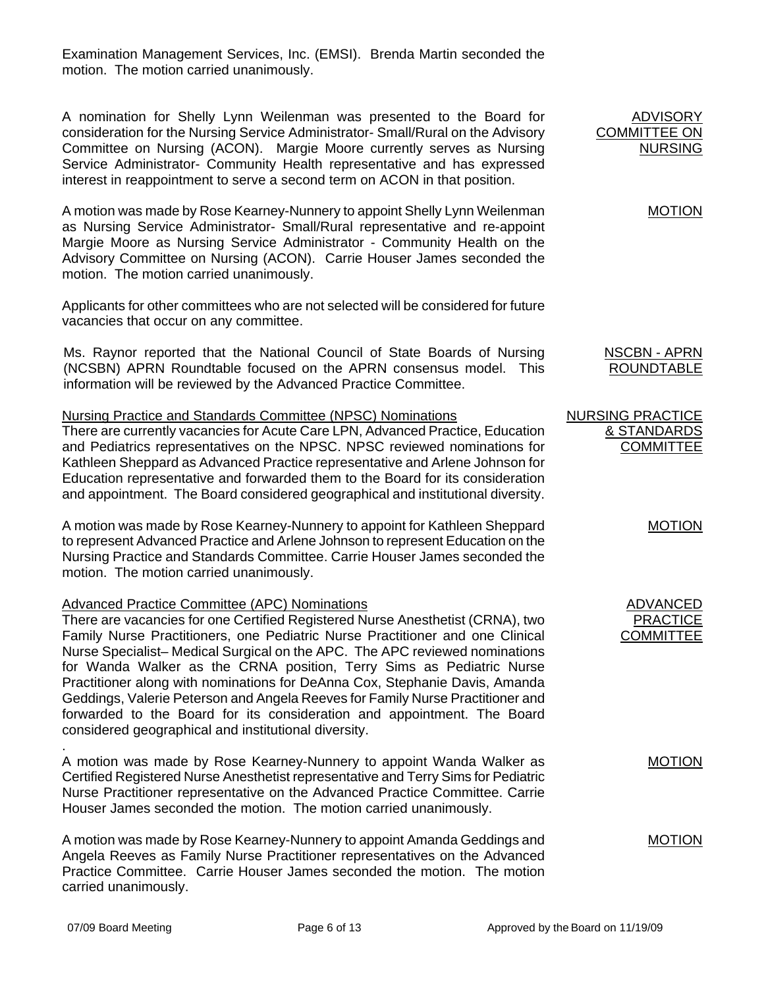Examination Management Services, Inc. (EMSI). Brenda Martin seconded the motion. The motion carried unanimously.

A nomination for Shelly Lynn Weilenman was presented to the Board for consideration for the Nursing Service Administrator- Small/Rural on the Advisory Committee on Nursing (ACON). Margie Moore currently serves as Nursing Service Administrator- Community Health representative and has expressed interest in reappointment to serve a second term on ACON in that position.

A motion was made by Rose Kearney-Nunnery to appoint Shelly Lynn Weilenman as Nursing Service Administrator- Small/Rural representative and re-appoint Margie Moore as Nursing Service Administrator - Community Health on the Advisory Committee on Nursing (ACON). Carrie Houser James seconded the motion. The motion carried unanimously.

Applicants for other committees who are not selected will be considered for future vacancies that occur on any committee.

Ms. Raynor reported that the National Council of State Boards of Nursing (NCSBN) APRN Roundtable focused on the APRN consensus model. This information will be reviewed by the Advanced Practice Committee.

## Nursing Practice and Standards Committee (NPSC) Nominations

There are currently vacancies for Acute Care LPN, Advanced Practice, Education and Pediatrics representatives on the NPSC. NPSC reviewed nominations for Kathleen Sheppard as Advanced Practice representative and Arlene Johnson for Education representative and forwarded them to the Board for its consideration and appointment. The Board considered geographical and institutional diversity.

A motion was made by Rose Kearney-Nunnery to appoint for Kathleen Sheppard to represent Advanced Practice and Arlene Johnson to represent Education on the Nursing Practice and Standards Committee. Carrie Houser James seconded the motion. The motion carried unanimously.

## Advanced Practice Committee (APC) Nominations

There are vacancies for one Certified Registered Nurse Anesthetist (CRNA), two Family Nurse Practitioners, one Pediatric Nurse Practitioner and one Clinical Nurse Specialist– Medical Surgical on the APC. The APC reviewed nominations for Wanda Walker as the CRNA position, Terry Sims as Pediatric Nurse Practitioner along with nominations for DeAnna Cox, Stephanie Davis, Amanda Geddings, Valerie Peterson and Angela Reeves for Family Nurse Practitioner and forwarded to the Board for its consideration and appointment. The Board considered geographical and institutional diversity.

. A motion was made by Rose Kearney-Nunnery to appoint Wanda Walker as Certified Registered Nurse Anesthetist representative and Terry Sims for Pediatric Nurse Practitioner representative on the Advanced Practice Committee. Carrie Houser James seconded the motion. The motion carried unanimously.

A motion was made by Rose Kearney-Nunnery to appoint Amanda Geddings and Angela Reeves as Family Nurse Practitioner representatives on the Advanced Practice Committee. Carrie Houser James seconded the motion. The motion carried unanimously.

ADVISORY COMMITTEE ON NURSING

MOTION

NSCBN - APRN ROUNDTABLE

| NURSING PRACTICE |
|------------------|
| & STANDARDS      |
| <b>COMMITTEE</b> |

MOTION

| ADVANCED         |
|------------------|
| PRACTICE         |
| <b>COMMITTEE</b> |

**MOTION**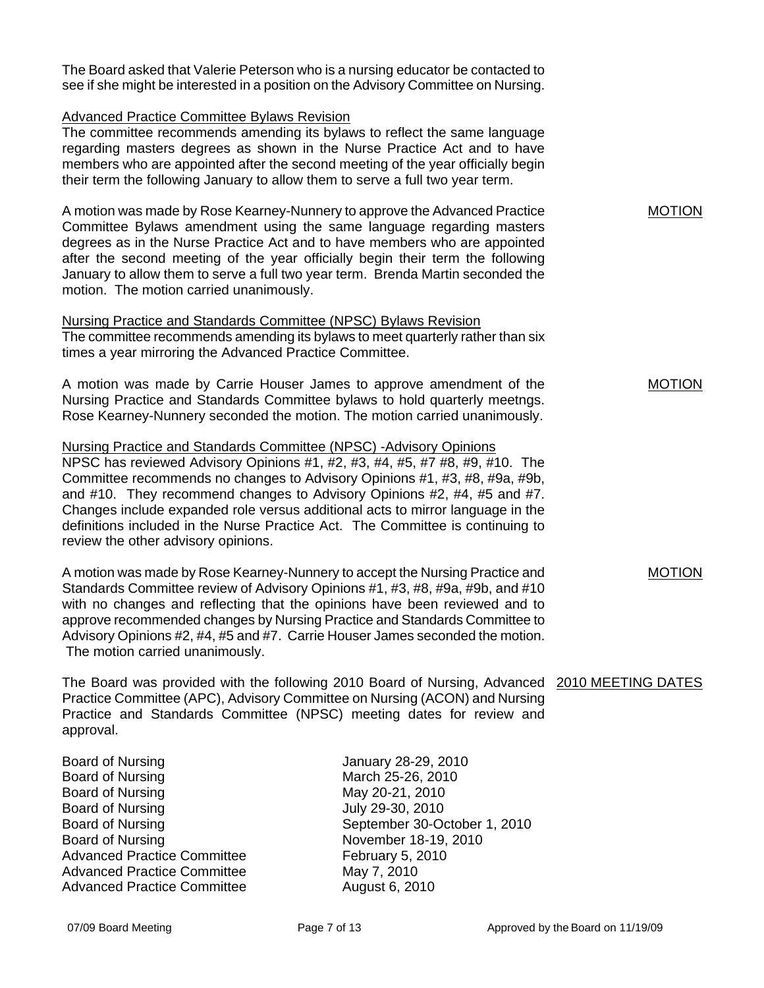The Board asked that Valerie Peterson who is a nursing educator be contacted to see if she might be interested in a position on the Advisory Committee on Nursing.

#### Advanced Practice Committee Bylaws Revision

The committee recommends amending its bylaws to reflect the same language regarding masters degrees as shown in the Nurse Practice Act and to have members who are appointed after the second meeting of the year officially begin their term the following January to allow them to serve a full two year term.

A motion was made by Rose Kearney-Nunnery to approve the Advanced Practice Committee Bylaws amendment using the same language regarding masters degrees as in the Nurse Practice Act and to have members who are appointed after the second meeting of the year officially begin their term the following January to allow them to serve a full two year term. Brenda Martin seconded the motion. The motion carried unanimously.

#### Nursing Practice and Standards Committee (NPSC) Bylaws Revision The committee recommends amending its bylaws to meet quarterly rather than six

times a year mirroring the Advanced Practice Committee.

A motion was made by Carrie Houser James to approve amendment of the Nursing Practice and Standards Committee bylaws to hold quarterly meetngs. Rose Kearney-Nunnery seconded the motion. The motion carried unanimously.

Nursing Practice and Standards Committee (NPSC) -Advisory Opinions NPSC has reviewed Advisory Opinions #1, #2, #3, #4, #5, #7 #8, #9, #10. The Committee recommends no changes to Advisory Opinions #1, #3, #8, #9a, #9b, and #10. They recommend changes to Advisory Opinions #2, #4, #5 and #7. Changes include expanded role versus additional acts to mirror language in the definitions included in the Nurse Practice Act. The Committee is continuing to review the other advisory opinions.

A motion was made by Rose Kearney-Nunnery to accept the Nursing Practice and Standards Committee review of Advisory Opinions #1, #3, #8, #9a, #9b, and #10 with no changes and reflecting that the opinions have been reviewed and to approve recommended changes by Nursing Practice and Standards Committee to Advisory Opinions #2, #4, #5 and #7. Carrie Houser James seconded the motion. The motion carried unanimously.

The Board was provided with the following 2010 Board of Nursing, Advanced 2010 MEETING DATES Practice Committee (APC), Advisory Committee on Nursing (ACON) and Nursing Practice and Standards Committee (NPSC) meeting dates for review and approval.

Board of Nursing **Internal Control** Dental Manuary 28-29, 2010 Board of Nursing March 25-26, 2010 Board of Nursing May 20-21, 2010 Board of Nursing **IV July 29-30, 2010** Board of Nursing November 18-19, 2010 Advanced Practice Committee February 5, 2010 Advanced Practice Committee May 7, 2010 Advanced Practice Committee **August 6, 2010** 

Board of Nursing September 30-October 1, 2010

MOTION

MOTION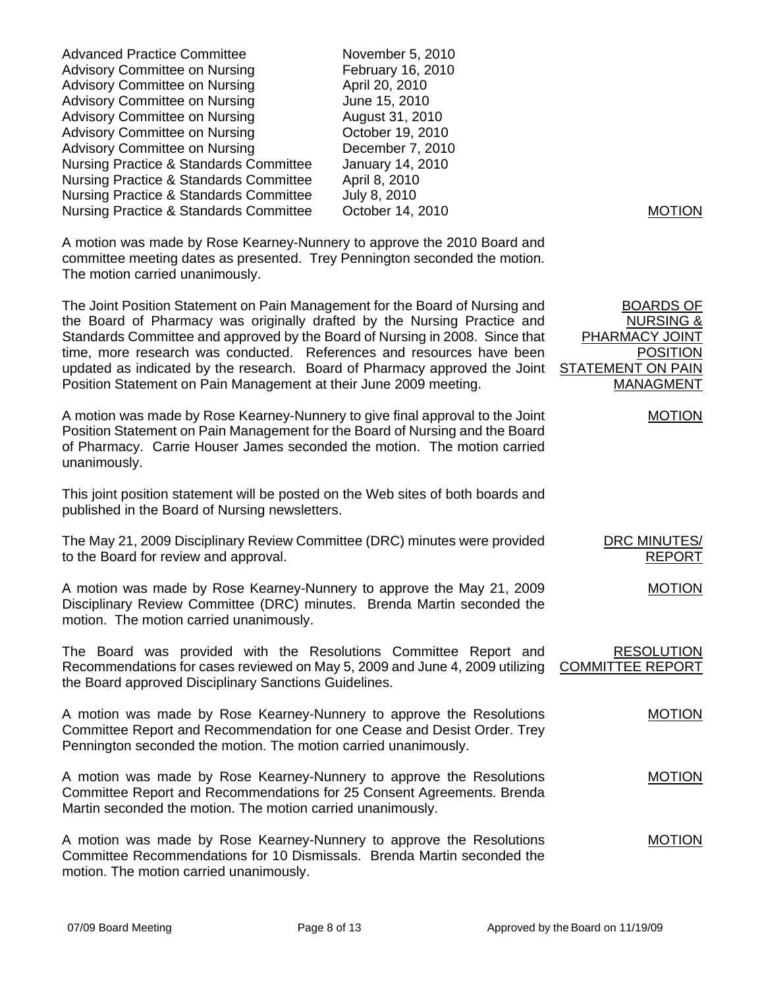| <b>Advanced Practice Committee</b><br><b>Advisory Committee on Nursing</b><br><b>Advisory Committee on Nursing</b><br><b>Advisory Committee on Nursing</b><br><b>Advisory Committee on Nursing</b><br><b>Advisory Committee on Nursing</b><br><b>Advisory Committee on Nursing</b><br><b>Nursing Practice &amp; Standards Committee</b><br>Nursing Practice & Standards Committee<br><b>Nursing Practice &amp; Standards Committee</b>                               | November 5, 2010<br>February 16, 2010<br>April 20, 2010<br>June 15, 2010<br>August 31, 2010<br>October 19, 2010<br>December 7, 2010<br>January 14, 2010<br>April 8, 2010<br>July 8, 2010 |                                                                                                                               |
|----------------------------------------------------------------------------------------------------------------------------------------------------------------------------------------------------------------------------------------------------------------------------------------------------------------------------------------------------------------------------------------------------------------------------------------------------------------------|------------------------------------------------------------------------------------------------------------------------------------------------------------------------------------------|-------------------------------------------------------------------------------------------------------------------------------|
| <b>Nursing Practice &amp; Standards Committee</b>                                                                                                                                                                                                                                                                                                                                                                                                                    | October 14, 2010                                                                                                                                                                         | <b>MOTION</b>                                                                                                                 |
| A motion was made by Rose Kearney-Nunnery to approve the 2010 Board and<br>committee meeting dates as presented. Trey Pennington seconded the motion.<br>The motion carried unanimously.                                                                                                                                                                                                                                                                             |                                                                                                                                                                                          |                                                                                                                               |
| The Joint Position Statement on Pain Management for the Board of Nursing and<br>the Board of Pharmacy was originally drafted by the Nursing Practice and<br>Standards Committee and approved by the Board of Nursing in 2008. Since that<br>time, more research was conducted. References and resources have been<br>updated as indicated by the research. Board of Pharmacy approved the Joint<br>Position Statement on Pain Management at their June 2009 meeting. |                                                                                                                                                                                          | <b>BOARDS OF</b><br><b>NURSING &amp;</b><br><b>PHARMACY JOINT</b><br><b>POSITION</b><br>STATEMENT ON PAIN<br><b>MANAGMENT</b> |
| A motion was made by Rose Kearney-Nunnery to give final approval to the Joint<br>Position Statement on Pain Management for the Board of Nursing and the Board<br>of Pharmacy. Carrie Houser James seconded the motion. The motion carried<br>unanimously.                                                                                                                                                                                                            |                                                                                                                                                                                          | <b>MOTION</b>                                                                                                                 |
| This joint position statement will be posted on the Web sites of both boards and<br>published in the Board of Nursing newsletters.                                                                                                                                                                                                                                                                                                                                   |                                                                                                                                                                                          |                                                                                                                               |
| The May 21, 2009 Disciplinary Review Committee (DRC) minutes were provided<br>to the Board for review and approval.                                                                                                                                                                                                                                                                                                                                                  |                                                                                                                                                                                          | DRC MINUTES/<br><b>REPORT</b>                                                                                                 |
| A motion was made by Rose Kearney-Nunnery to approve the May 21, 2009<br>Disciplinary Review Committee (DRC) minutes. Brenda Martin seconded the<br>motion. The motion carried unanimously.                                                                                                                                                                                                                                                                          |                                                                                                                                                                                          | <b>MOTION</b>                                                                                                                 |
| The Board was provided with the Resolutions Committee Report and<br>Recommendations for cases reviewed on May 5, 2009 and June 4, 2009 utilizing<br>the Board approved Disciplinary Sanctions Guidelines.                                                                                                                                                                                                                                                            |                                                                                                                                                                                          | <b>RESOLUTION</b><br><b>COMMITTEE REPORT</b>                                                                                  |
| A motion was made by Rose Kearney-Nunnery to approve the Resolutions<br>Committee Report and Recommendation for one Cease and Desist Order. Trey<br>Pennington seconded the motion. The motion carried unanimously.                                                                                                                                                                                                                                                  |                                                                                                                                                                                          | <b>MOTION</b>                                                                                                                 |
| A motion was made by Rose Kearney-Nunnery to approve the Resolutions<br>Committee Report and Recommendations for 25 Consent Agreements. Brenda<br>Martin seconded the motion. The motion carried unanimously.                                                                                                                                                                                                                                                        |                                                                                                                                                                                          | <b>MOTION</b>                                                                                                                 |
| A motion was made by Rose Kearney-Nunnery to approve the Resolutions<br>Committee Recommendations for 10 Dismissals. Brenda Martin seconded the<br>motion. The motion carried unanimously.                                                                                                                                                                                                                                                                           |                                                                                                                                                                                          | <b>MOTION</b>                                                                                                                 |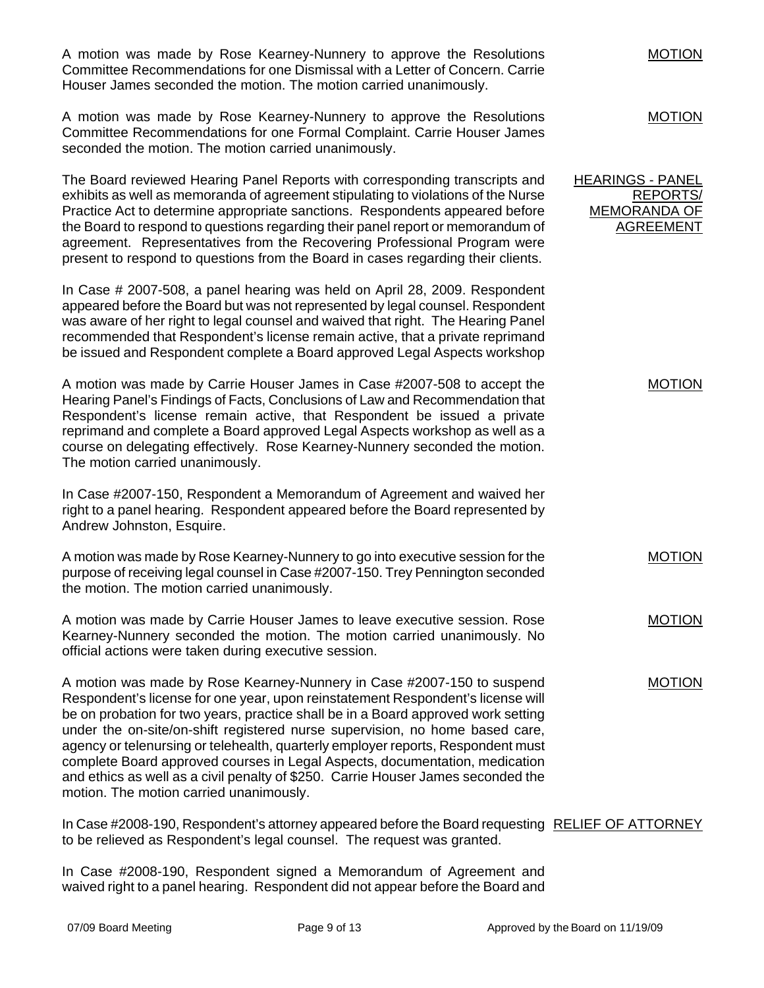A motion was made by Rose Kearney-Nunnery to approve the Resolutions Committee Recommendations for one Dismissal with a Letter of Concern. Carrie Houser James seconded the motion. The motion carried unanimously. A motion was made by Rose Kearney-Nunnery to approve the Resolutions Committee Recommendations for one Formal Complaint. Carrie Houser James seconded the motion. The motion carried unanimously. MOTION MOTION The Board reviewed Hearing Panel Reports with corresponding transcripts and exhibits as well as memoranda of agreement stipulating to violations of the Nurse Practice Act to determine appropriate sanctions. Respondents appeared before the Board to respond to questions regarding their panel report or memorandum of agreement. Representatives from the Recovering Professional Program were present to respond to questions from the Board in cases regarding their clients. In Case # 2007-508, a panel hearing was held on April 28, 2009. Respondent appeared before the Board but was not represented by legal counsel. Respondent was aware of her right to legal counsel and waived that right. The Hearing Panel recommended that Respondent's license remain active, that a private reprimand be issued and Respondent complete a Board approved Legal Aspects workshop A motion was made by Carrie Houser James in Case #2007-508 to accept the Hearing Panel's Findings of Facts, Conclusions of Law and Recommendation that Respondent's license remain active, that Respondent be issued a private reprimand and complete a Board approved Legal Aspects workshop as well as a course on delegating effectively. Rose Kearney-Nunnery seconded the motion. The motion carried unanimously. In Case #2007-150, Respondent a Memorandum of Agreement and waived her right to a panel hearing. Respondent appeared before the Board represented by Andrew Johnston, Esquire. A motion was made by Rose Kearney-Nunnery to go into executive session for the purpose of receiving legal counsel in Case #2007-150. Trey Pennington seconded the motion. The motion carried unanimously. A motion was made by Carrie Houser James to leave executive session. Rose Kearney-Nunnery seconded the motion. The motion carried unanimously. No official actions were taken during executive session. A motion was made by Rose Kearney-Nunnery in Case #2007-150 to suspend Respondent's license for one year, upon reinstatement Respondent's license will be on probation for two years, practice shall be in a Board approved work setting under the on-site/on-shift registered nurse supervision, no home based care, agency or telenursing or telehealth, quarterly employer reports, Respondent must complete Board approved courses in Legal Aspects, documentation, medication and ethics as well as a civil penalty of \$250. Carrie Houser James seconded the motion. The motion carried unanimously. In Case #2008-190, Respondent's attorney appeared before the Board requesting RELIEF OF ATTORNEY to be relieved as Respondent's legal counsel. The request was granted. HEARINGS - PANEL REPORTS/ MEMORANDA OF AGREEMENT MOTION MOTION MOTION MOTION

In Case #2008-190, Respondent signed a Memorandum of Agreement and waived right to a panel hearing. Respondent did not appear before the Board and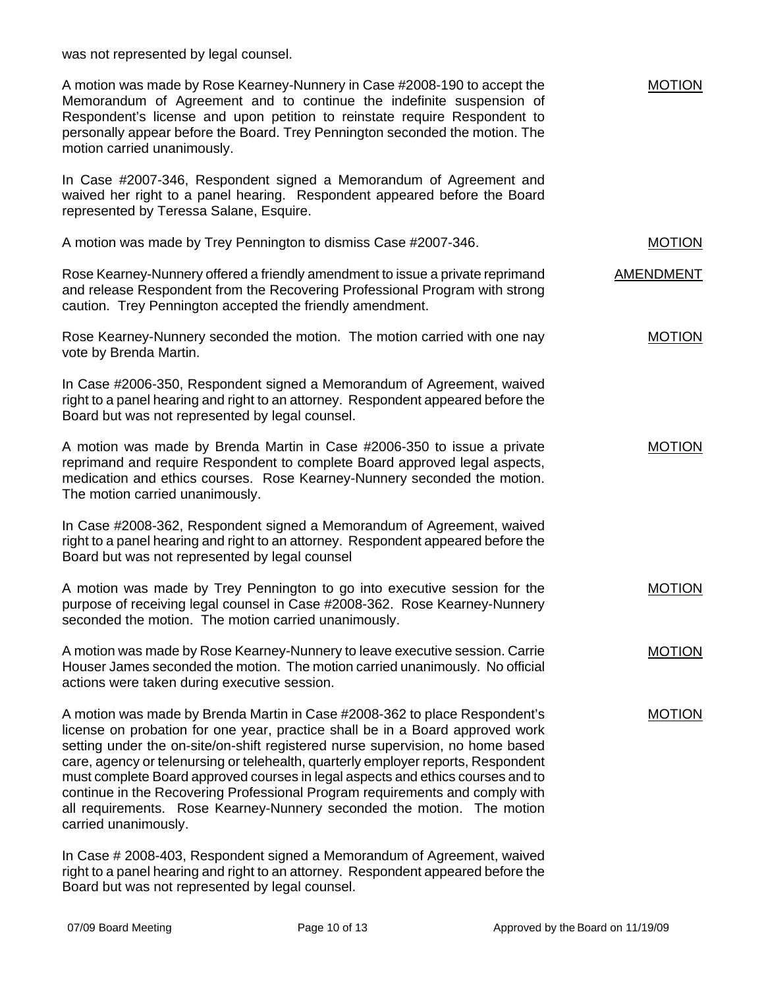was not represented by legal counsel.

| A motion was made by Rose Kearney-Nunnery in Case #2008-190 to accept the<br>Memorandum of Agreement and to continue the indefinite suspension of<br>Respondent's license and upon petition to reinstate require Respondent to<br>personally appear before the Board. Trey Pennington seconded the motion. The<br>motion carried unanimously.                                                                                                                                                                                                                                                           | <b>MOTION</b> |
|---------------------------------------------------------------------------------------------------------------------------------------------------------------------------------------------------------------------------------------------------------------------------------------------------------------------------------------------------------------------------------------------------------------------------------------------------------------------------------------------------------------------------------------------------------------------------------------------------------|---------------|
| In Case #2007-346, Respondent signed a Memorandum of Agreement and<br>waived her right to a panel hearing. Respondent appeared before the Board<br>represented by Teressa Salane, Esquire.                                                                                                                                                                                                                                                                                                                                                                                                              |               |
| A motion was made by Trey Pennington to dismiss Case #2007-346.                                                                                                                                                                                                                                                                                                                                                                                                                                                                                                                                         | <b>MOTION</b> |
| Rose Kearney-Nunnery offered a friendly amendment to issue a private reprimand<br>and release Respondent from the Recovering Professional Program with strong<br>caution. Trey Pennington accepted the friendly amendment.                                                                                                                                                                                                                                                                                                                                                                              | AMENDMENT     |
| Rose Kearney-Nunnery seconded the motion. The motion carried with one nay<br>vote by Brenda Martin.                                                                                                                                                                                                                                                                                                                                                                                                                                                                                                     | <b>MOTION</b> |
| In Case #2006-350, Respondent signed a Memorandum of Agreement, waived<br>right to a panel hearing and right to an attorney. Respondent appeared before the<br>Board but was not represented by legal counsel.                                                                                                                                                                                                                                                                                                                                                                                          |               |
| A motion was made by Brenda Martin in Case #2006-350 to issue a private<br>reprimand and require Respondent to complete Board approved legal aspects,<br>medication and ethics courses. Rose Kearney-Nunnery seconded the motion.<br>The motion carried unanimously.                                                                                                                                                                                                                                                                                                                                    | <b>MOTION</b> |
| In Case #2008-362, Respondent signed a Memorandum of Agreement, waived<br>right to a panel hearing and right to an attorney. Respondent appeared before the<br>Board but was not represented by legal counsel                                                                                                                                                                                                                                                                                                                                                                                           |               |
| A motion was made by Trey Pennington to go into executive session for the<br>purpose of receiving legal counsel in Case #2008-362. Rose Kearney-Nunnery<br>seconded the motion. The motion carried unanimously.                                                                                                                                                                                                                                                                                                                                                                                         | <b>MOTION</b> |
| A motion was made by Rose Kearney-Nunnery to leave executive session. Carrie<br>Houser James seconded the motion. The motion carried unanimously. No official<br>actions were taken during executive session.                                                                                                                                                                                                                                                                                                                                                                                           | <b>MOTION</b> |
| A motion was made by Brenda Martin in Case #2008-362 to place Respondent's<br>license on probation for one year, practice shall be in a Board approved work<br>setting under the on-site/on-shift registered nurse supervision, no home based<br>care, agency or telenursing or telehealth, quarterly employer reports, Respondent<br>must complete Board approved courses in legal aspects and ethics courses and to<br>continue in the Recovering Professional Program requirements and comply with<br>all requirements. Rose Kearney-Nunnery seconded the motion. The motion<br>carried unanimously. | <b>MOTION</b> |
| In Case # 2008-403, Respondent signed a Memorandum of Agreement, waived<br>right to a panel hearing and right to an attorney. Respondent appeared before the                                                                                                                                                                                                                                                                                                                                                                                                                                            |               |

Board but was not represented by legal counsel.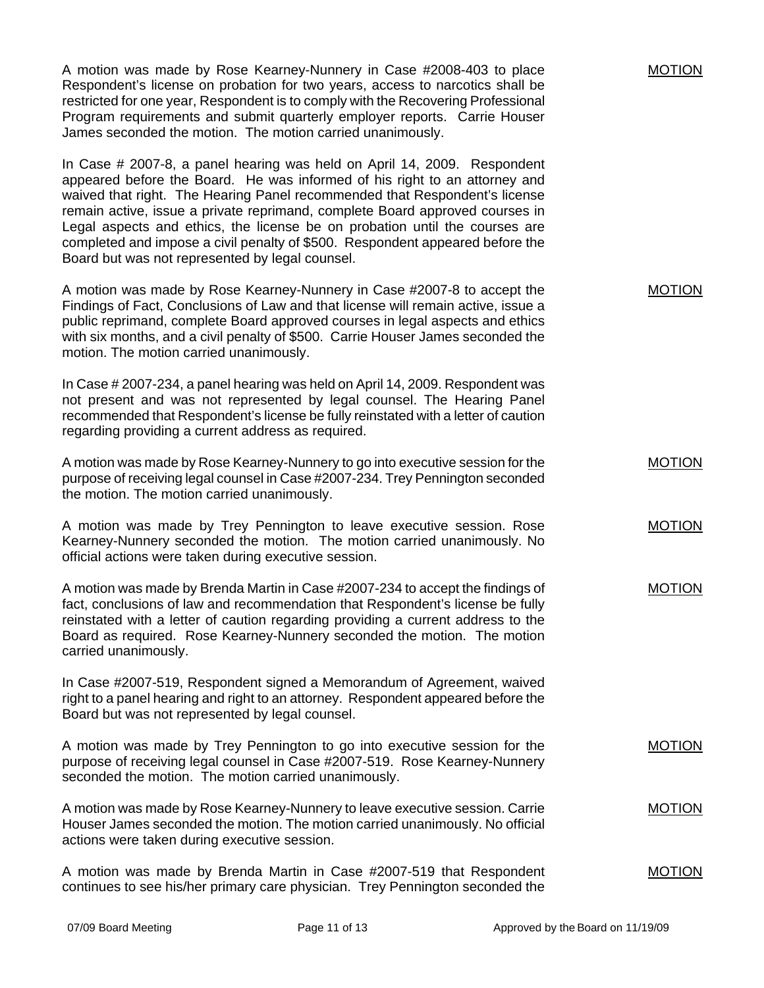A motion was made by Rose Kearney-Nunnery in Case #2008-403 to place Respondent's license on probation for two years, access to narcotics shall be restricted for one year, Respondent is to comply with the Recovering Professional Program requirements and submit quarterly employer reports. Carrie Houser James seconded the motion. The motion carried unanimously.

In Case # 2007-8, a panel hearing was held on April 14, 2009. Respondent appeared before the Board. He was informed of his right to an attorney and waived that right. The Hearing Panel recommended that Respondent's license remain active, issue a private reprimand, complete Board approved courses in Legal aspects and ethics, the license be on probation until the courses are completed and impose a civil penalty of \$500. Respondent appeared before the Board but was not represented by legal counsel.

A motion was made by Rose Kearney-Nunnery in Case #2007-8 to accept the Findings of Fact, Conclusions of Law and that license will remain active, issue a public reprimand, complete Board approved courses in legal aspects and ethics with six months, and a civil penalty of \$500. Carrie Houser James seconded the motion. The motion carried unanimously.

In Case # 2007-234, a panel hearing was held on April 14, 2009. Respondent was not present and was not represented by legal counsel. The Hearing Panel recommended that Respondent's license be fully reinstated with a letter of caution regarding providing a current address as required.

A motion was made by Rose Kearney-Nunnery to go into executive session for the purpose of receiving legal counsel in Case #2007-234. Trey Pennington seconded the motion. The motion carried unanimously.

A motion was made by Trey Pennington to leave executive session. Rose Kearney-Nunnery seconded the motion. The motion carried unanimously. No official actions were taken during executive session.

A motion was made by Brenda Martin in Case #2007-234 to accept the findings of fact, conclusions of law and recommendation that Respondent's license be fully reinstated with a letter of caution regarding providing a current address to the Board as required. Rose Kearney-Nunnery seconded the motion. The motion carried unanimously. MOTION

In Case #2007-519, Respondent signed a Memorandum of Agreement, waived right to a panel hearing and right to an attorney. Respondent appeared before the Board but was not represented by legal counsel.

A motion was made by Trey Pennington to go into executive session for the purpose of receiving legal counsel in Case #2007-519. Rose Kearney-Nunnery seconded the motion. The motion carried unanimously.

A motion was made by Rose Kearney-Nunnery to leave executive session. Carrie Houser James seconded the motion. The motion carried unanimously. No official actions were taken during executive session. MOTION

A motion was made by Brenda Martin in Case #2007-519 that Respondent continues to see his/her primary care physician. Trey Pennington seconded the MOTION

MOTION

MOTION

MOTION

MOTION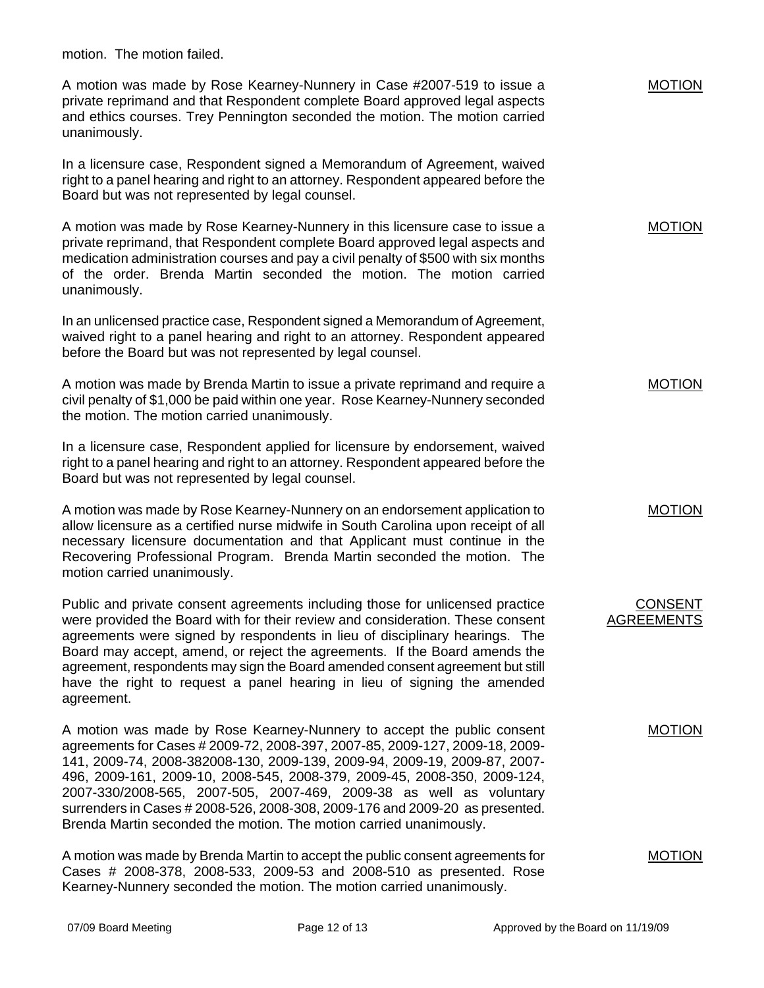motion. The motion failed.

A motion was made by Rose Kearney-Nunnery in Case #2007-519 to issue a private reprimand and that Respondent complete Board approved legal aspects and ethics courses. Trey Pennington seconded the motion. The motion carried unanimously.

In a licensure case, Respondent signed a Memorandum of Agreement, waived right to a panel hearing and right to an attorney. Respondent appeared before the Board but was not represented by legal counsel.

A motion was made by Rose Kearney-Nunnery in this licensure case to issue a private reprimand, that Respondent complete Board approved legal aspects and medication administration courses and pay a civil penalty of \$500 with six months of the order. Brenda Martin seconded the motion. The motion carried unanimously.

In an unlicensed practice case, Respondent signed a Memorandum of Agreement, waived right to a panel hearing and right to an attorney. Respondent appeared before the Board but was not represented by legal counsel.

A motion was made by Brenda Martin to issue a private reprimand and require a civil penalty of \$1,000 be paid within one year. Rose Kearney-Nunnery seconded the motion. The motion carried unanimously.

In a licensure case, Respondent applied for licensure by endorsement, waived right to a panel hearing and right to an attorney. Respondent appeared before the Board but was not represented by legal counsel.

A motion was made by Rose Kearney-Nunnery on an endorsement application to allow licensure as a certified nurse midwife in South Carolina upon receipt of all necessary licensure documentation and that Applicant must continue in the Recovering Professional Program. Brenda Martin seconded the motion. The motion carried unanimously.

Public and private consent agreements including those for unlicensed practice were provided the Board with for their review and consideration. These consent agreements were signed by respondents in lieu of disciplinary hearings. The Board may accept, amend, or reject the agreements. If the Board amends the agreement, respondents may sign the Board amended consent agreement but still have the right to request a panel hearing in lieu of signing the amended agreement.

A motion was made by Rose Kearney-Nunnery to accept the public consent agreements for Cases # 2009-72, 2008-397, 2007-85, 2009-127, 2009-18, 2009- 141, 2009-74, 2008-382008-130, 2009-139, 2009-94, 2009-19, 2009-87, 2007- 496, 2009-161, 2009-10, 2008-545, 2008-379, 2009-45, 2008-350, 2009-124, 2007-330/2008-565, 2007-505, 2007-469, 2009-38 as well as voluntary surrenders in Cases # 2008-526, 2008-308, 2009-176 and 2009-20 as presented. Brenda Martin seconded the motion. The motion carried unanimously.

A motion was made by Brenda Martin to accept the public consent agreements for Cases # 2008-378, 2008-533, 2009-53 and 2008-510 as presented. Rose Kearney-Nunnery seconded the motion. The motion carried unanimously.

MOTION

MOTION

MOTION

MOTION

CONSENT AGREEMENTS

MOTION